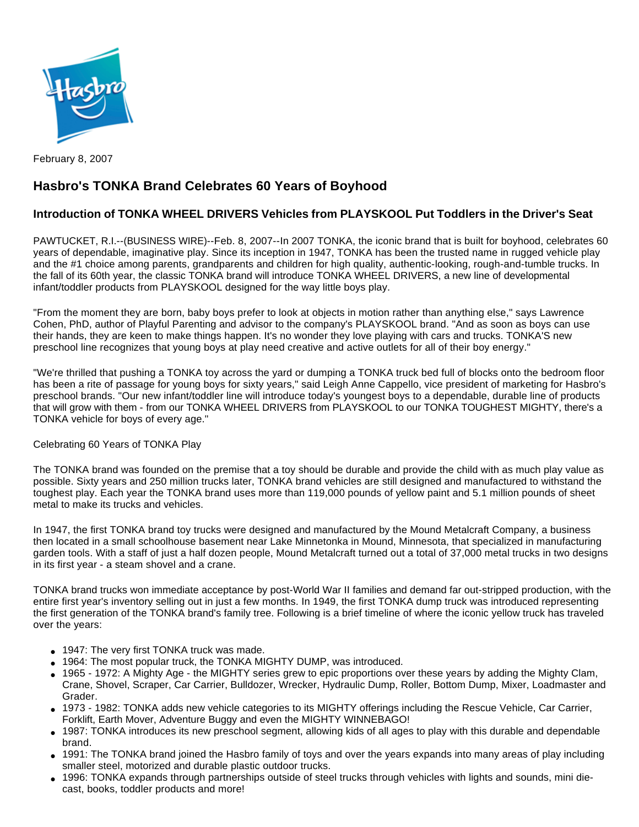

February 8, 2007

## **Hasbro's TONKA Brand Celebrates 60 Years of Boyhood**

## **Introduction of TONKA WHEEL DRIVERS Vehicles from PLAYSKOOL Put Toddlers in the Driver's Seat**

PAWTUCKET, R.I.--(BUSINESS WIRE)--Feb. 8, 2007--In 2007 TONKA, the iconic brand that is built for boyhood, celebrates 60 years of dependable, imaginative play. Since its inception in 1947, TONKA has been the trusted name in rugged vehicle play and the #1 choice among parents, grandparents and children for high quality, authentic-looking, rough-and-tumble trucks. In the fall of its 60th year, the classic TONKA brand will introduce TONKA WHEEL DRIVERS, a new line of developmental infant/toddler products from PLAYSKOOL designed for the way little boys play.

"From the moment they are born, baby boys prefer to look at objects in motion rather than anything else," says Lawrence Cohen, PhD, author of Playful Parenting and advisor to the company's PLAYSKOOL brand. "And as soon as boys can use their hands, they are keen to make things happen. It's no wonder they love playing with cars and trucks. TONKA'S new preschool line recognizes that young boys at play need creative and active outlets for all of their boy energy."

"We're thrilled that pushing a TONKA toy across the yard or dumping a TONKA truck bed full of blocks onto the bedroom floor has been a rite of passage for young boys for sixty years," said Leigh Anne Cappello, vice president of marketing for Hasbro's preschool brands. "Our new infant/toddler line will introduce today's youngest boys to a dependable, durable line of products that will grow with them - from our TONKA WHEEL DRIVERS from PLAYSKOOL to our TONKA TOUGHEST MIGHTY, there's a TONKA vehicle for boys of every age."

## Celebrating 60 Years of TONKA Play

The TONKA brand was founded on the premise that a toy should be durable and provide the child with as much play value as possible. Sixty years and 250 million trucks later, TONKA brand vehicles are still designed and manufactured to withstand the toughest play. Each year the TONKA brand uses more than 119,000 pounds of yellow paint and 5.1 million pounds of sheet metal to make its trucks and vehicles.

In 1947, the first TONKA brand toy trucks were designed and manufactured by the Mound Metalcraft Company, a business then located in a small schoolhouse basement near Lake Minnetonka in Mound, Minnesota, that specialized in manufacturing garden tools. With a staff of just a half dozen people, Mound Metalcraft turned out a total of 37,000 metal trucks in two designs in its first year - a steam shovel and a crane.

TONKA brand trucks won immediate acceptance by post-World War II families and demand far out-stripped production, with the entire first year's inventory selling out in just a few months. In 1949, the first TONKA dump truck was introduced representing the first generation of the TONKA brand's family tree. Following is a brief timeline of where the iconic yellow truck has traveled over the years:

- 1947: The very first TONKA truck was made.
- 1964: The most popular truck, the TONKA MIGHTY DUMP, was introduced.
- 1965 1972: A Mighty Age the MIGHTY series grew to epic proportions over these years by adding the Mighty Clam, Crane, Shovel, Scraper, Car Carrier, Bulldozer, Wrecker, Hydraulic Dump, Roller, Bottom Dump, Mixer, Loadmaster and Grader.
- 1973 1982: TONKA adds new vehicle categories to its MIGHTY offerings including the Rescue Vehicle, Car Carrier, Forklift, Earth Mover, Adventure Buggy and even the MIGHTY WINNEBAGO!
- 1987: TONKA introduces its new preschool segment, allowing kids of all ages to play with this durable and dependable brand.
- 1991: The TONKA brand joined the Hasbro family of toys and over the years expands into many areas of play including smaller steel, motorized and durable plastic outdoor trucks.
- 1996: TONKA expands through partnerships outside of steel trucks through vehicles with lights and sounds, mini diecast, books, toddler products and more!